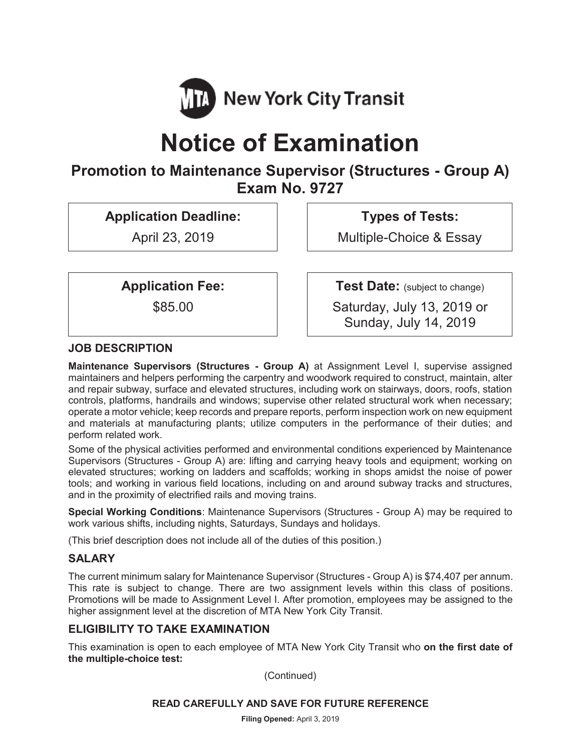

# **Notice of Examination**

# **Promotion to Maintenance Supervisor (Structures - Group A) Exam No. 9727**

**Application Deadline:** 

April 23, 2019

**Types of Tests:** 

Multiple-Choice & Essay

**Application Fee:** 

\$85.00

**Test Date:** (subject to change)

Saturday, July 13, 2019 or Sunday, July 14, 2019

# **JOB DESCRIPTION**

**Maintenance Supervisors (Structures - Group A)** at Assignment Level I, supervise assigned maintainers and helpers performing the carpentry and woodwork required to construct, maintain, alter and repair subway, surface and elevated structures, including work on stairways, doors, roofs, station controls, platforms, handrails and windows; supervise other related structural work when necessary; operate a motor vehicle; keep records and prepare reports, perform inspection work on new equipment and materials at manufacturing plants; utilize computers in the performance of their duties; and perform related work.

Some of the physical activities performed and environmental conditions experienced by Maintenance Supervisors (Structures - Group A) are: lifting and carrying heavy tools and equipment; working on elevated structures; working on ladders and scaffolds; working in shops amidst the noise of power tools; and working in various field locations, including on and around subway tracks and structures, and in the proximity of electrified rails and moving trains.

**Special Working Conditions**: Maintenance Supervisors (Structures - Group A) may be required to work various shifts, including nights, Saturdays, Sundays and holidays.

(This brief description does not include all of the duties of this position.)

# **SALARY**

The current minimum salary for Maintenance Supervisor (Structures - Group A) is \$74,407 per annum. This rate is subject to change. There are two assignment levels within this class of positions. Promotions will be made to Assignment Level I. After promotion, employees may be assigned to the higher assignment level at the discretion of MTA New York City Transit.

# **ELIGIBILITY TO TAKE EXAMINATION**

This examination is open to each employee of MTA New York City Transit who **on the first date of the multiple-choice test:** 

(Continued)

#### **READ CAREFULLY AND SAVE FOR FUTURE REFERENCE**

**Filing Opened:** April 3, 2019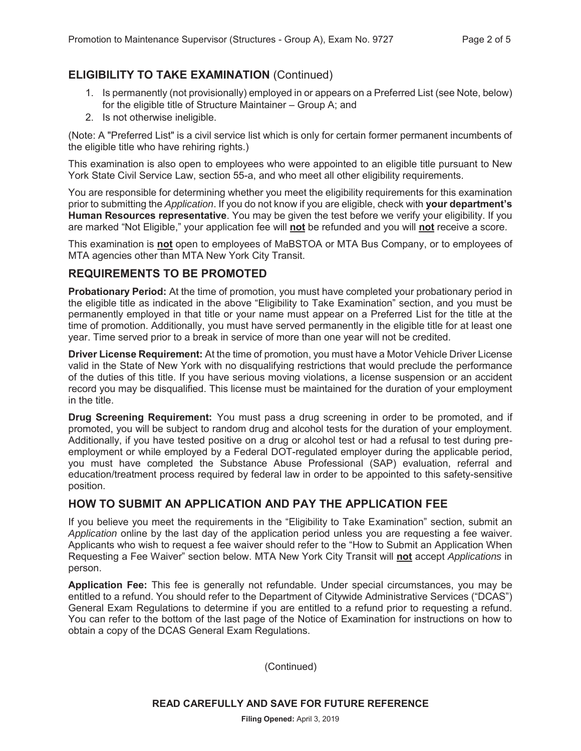# **ELIGIBILITY TO TAKE EXAMINATION** (Continued)

- 1. Is permanently (not provisionally) employed in or appears on a Preferred List (see Note, below) for the eligible title of Structure Maintainer – Group A; and
- 2. Is not otherwise ineligible.

(Note: A "Preferred List" is a civil service list which is only for certain former permanent incumbents of the eligible title who have rehiring rights.)

This examination is also open to employees who were appointed to an eligible title pursuant to New York State Civil Service Law, section 55-a, and who meet all other eligibility requirements.

You are responsible for determining whether you meet the eligibility requirements for this examination prior to submitting the *Application*. If you do not know if you are eligible, check with **your department's Human Resources representative**. You may be given the test before we verify your eligibility. If you are marked "Not Eligible," your application fee will **not** be refunded and you will **not** receive a score.

This examination is **not** open to employees of MaBSTOA or MTA Bus Company, or to employees of MTA agencies other than MTA New York City Transit.

#### **REQUIREMENTS TO BE PROMOTED**

**Probationary Period:** At the time of promotion, you must have completed your probationary period in the eligible title as indicated in the above "Eligibility to Take Examination" section, and you must be permanently employed in that title or your name must appear on a Preferred List for the title at the time of promotion. Additionally, you must have served permanently in the eligible title for at least one year. Time served prior to a break in service of more than one year will not be credited.

**Driver License Requirement:** At the time of promotion, you must have a Motor Vehicle Driver License valid in the State of New York with no disqualifying restrictions that would preclude the performance of the duties of this title. If you have serious moving violations, a license suspension or an accident record you may be disqualified. This license must be maintained for the duration of your employment in the title.

**Drug Screening Requirement:** You must pass a drug screening in order to be promoted, and if promoted, you will be subject to random drug and alcohol tests for the duration of your employment. Additionally, if you have tested positive on a drug or alcohol test or had a refusal to test during preemployment or while employed by a Federal DOT-regulated employer during the applicable period, you must have completed the Substance Abuse Professional (SAP) evaluation, referral and education/treatment process required by federal law in order to be appointed to this safety-sensitive position.

# **HOW TO SUBMIT AN APPLICATION AND PAY THE APPLICATION FEE**

If you believe you meet the requirements in the "Eligibility to Take Examination" section, submit an *Application* online by the last day of the application period unless you are requesting a fee waiver. Applicants who wish to request a fee waiver should refer to the "How to Submit an Application When Requesting a Fee Waiver" section below. MTA New York City Transit will **not** accept *Applications* in person.

**Application Fee:** This fee is generally not refundable. Under special circumstances, you may be entitled to a refund. You should refer to the Department of Citywide Administrative Services ("DCAS") General Exam Regulations to determine if you are entitled to a refund prior to requesting a refund. You can refer to the bottom of the last page of the Notice of Examination for instructions on how to obtain a copy of the DCAS General Exam Regulations.

(Continued)

**READ CAREFULLY AND SAVE FOR FUTURE REFERENCE**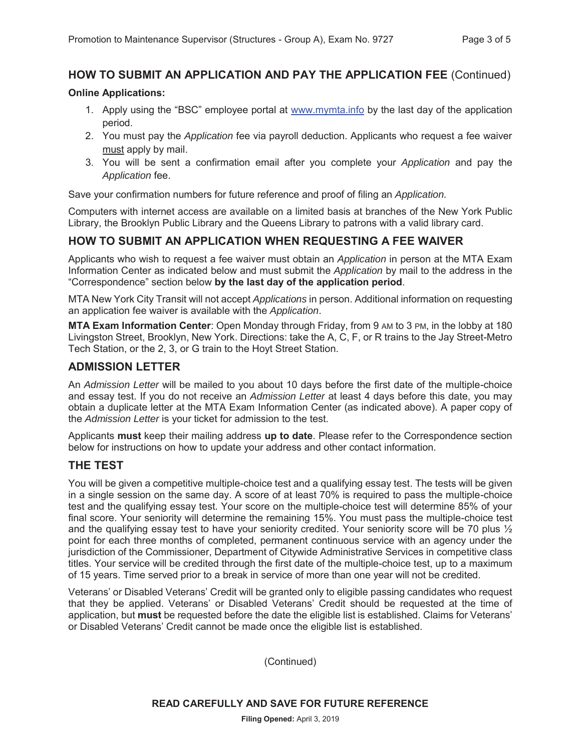# **HOW TO SUBMIT AN APPLICATION AND PAY THE APPLICATION FEE** (Continued)

#### **Online Applications:**

- 1. Apply using the "BSC" employee portal at www.mymta.info by the last day of the application period.
- 2. You must pay the *Application* fee via payroll deduction. Applicants who request a fee waiver must apply by mail.
- 3. You will be sent a confirmation email after you complete your *Application* and pay the *Application* fee.

Save your confirmation numbers for future reference and proof of filing an *Application.*

Computers with internet access are available on a limited basis at branches of the New York Public Library, the Brooklyn Public Library and the Queens Library to patrons with a valid library card.

#### **HOW TO SUBMIT AN APPLICATION WHEN REQUESTING A FEE WAIVER**

Applicants who wish to request a fee waiver must obtain an *Application* in person at the MTA Exam Information Center as indicated below and must submit the *Application* by mail to the address in the "Correspondence" section below **by the last day of the application period**.

MTA New York City Transit will not accept *Applications* in person. Additional information on requesting an application fee waiver is available with the *Application*.

**MTA Exam Information Center**: Open Monday through Friday, from 9 AM to 3 PM, in the lobby at 180 Livingston Street, Brooklyn, New York. Directions: take the A, C, F, or R trains to the Jay Street-Metro Tech Station, or the 2, 3, or G train to the Hoyt Street Station.

#### **ADMISSION LETTER**

An *Admission Letter* will be mailed to you about 10 days before the first date of the multiple-choice and essay test. If you do not receive an *Admission Letter* at least 4 days before this date, you may obtain a duplicate letter at the MTA Exam Information Center (as indicated above). A paper copy of the *Admission Letter* is your ticket for admission to the test.

Applicants **must** keep their mailing address **up to date**. Please refer to the Correspondence section below for instructions on how to update your address and other contact information.

#### **THE TEST**

You will be given a competitive multiple-choice test and a qualifying essay test. The tests will be given in a single session on the same day. A score of at least 70% is required to pass the multiple-choice test and the qualifying essay test. Your score on the multiple-choice test will determine 85% of your final score. Your seniority will determine the remaining 15%. You must pass the multiple-choice test and the qualifying essay test to have your seniority credited. Your seniority score will be 70 plus  $\frac{1}{2}$ point for each three months of completed, permanent continuous service with an agency under the jurisdiction of the Commissioner, Department of Citywide Administrative Services in competitive class titles. Your service will be credited through the first date of the multiple-choice test, up to a maximum of 15 years. Time served prior to a break in service of more than one year will not be credited.

Veterans' or Disabled Veterans' Credit will be granted only to eligible passing candidates who request that they be applied. Veterans' or Disabled Veterans' Credit should be requested at the time of application, but **must** be requested before the date the eligible list is established. Claims for Veterans' or Disabled Veterans' Credit cannot be made once the eligible list is established.

(Continued)

**READ CAREFULLY AND SAVE FOR FUTURE REFERENCE**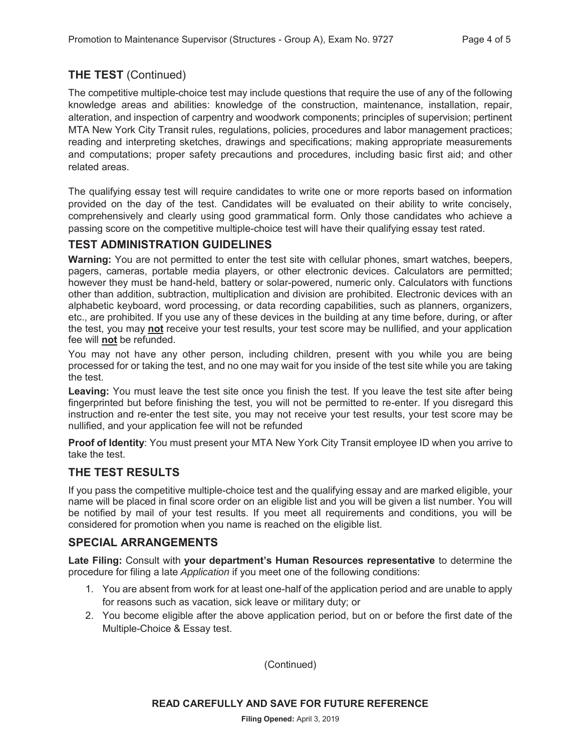# **THE TEST** (Continued)

The competitive multiple-choice test may include questions that require the use of any of the following knowledge areas and abilities: knowledge of the construction, maintenance, installation, repair, alteration, and inspection of carpentry and woodwork components; principles of supervision; pertinent MTA New York City Transit rules, regulations, policies, procedures and labor management practices; reading and interpreting sketches, drawings and specifications; making appropriate measurements and computations; proper safety precautions and procedures, including basic first aid; and other related areas.

The qualifying essay test will require candidates to write one or more reports based on information provided on the day of the test. Candidates will be evaluated on their ability to write concisely, comprehensively and clearly using good grammatical form. Only those candidates who achieve a passing score on the competitive multiple-choice test will have their qualifying essay test rated.

# **TEST ADMINISTRATION GUIDELINES**

**Warning:** You are not permitted to enter the test site with cellular phones, smart watches, beepers, pagers, cameras, portable media players, or other electronic devices. Calculators are permitted; however they must be hand-held, battery or solar-powered, numeric only. Calculators with functions other than addition, subtraction, multiplication and division are prohibited. Electronic devices with an alphabetic keyboard, word processing, or data recording capabilities, such as planners, organizers, etc., are prohibited. If you use any of these devices in the building at any time before, during, or after the test, you may **not** receive your test results, your test score may be nullified, and your application fee will **not** be refunded.

You may not have any other person, including children, present with you while you are being processed for or taking the test, and no one may wait for you inside of the test site while you are taking the test.

Leaving: You must leave the test site once you finish the test. If you leave the test site after being fingerprinted but before finishing the test, you will not be permitted to re-enter. If you disregard this instruction and re-enter the test site, you may not receive your test results, your test score may be nullified, and your application fee will not be refunded

**Proof of Identity**: You must present your MTA New York City Transit employee ID when you arrive to take the test.

#### **THE TEST RESULTS**

If you pass the competitive multiple-choice test and the qualifying essay and are marked eligible, your name will be placed in final score order on an eligible list and you will be given a list number. You will be notified by mail of your test results. If you meet all requirements and conditions, you will be considered for promotion when you name is reached on the eligible list.

#### **SPECIAL ARRANGEMENTS**

**Late Filing:** Consult with **your department's Human Resources representative** to determine the procedure for filing a late *Application* if you meet one of the following conditions:

- 1. You are absent from work for at least one-half of the application period and are unable to apply for reasons such as vacation, sick leave or military duty; or
- 2. You become eligible after the above application period, but on or before the first date of the Multiple-Choice & Essay test.

(Continued)